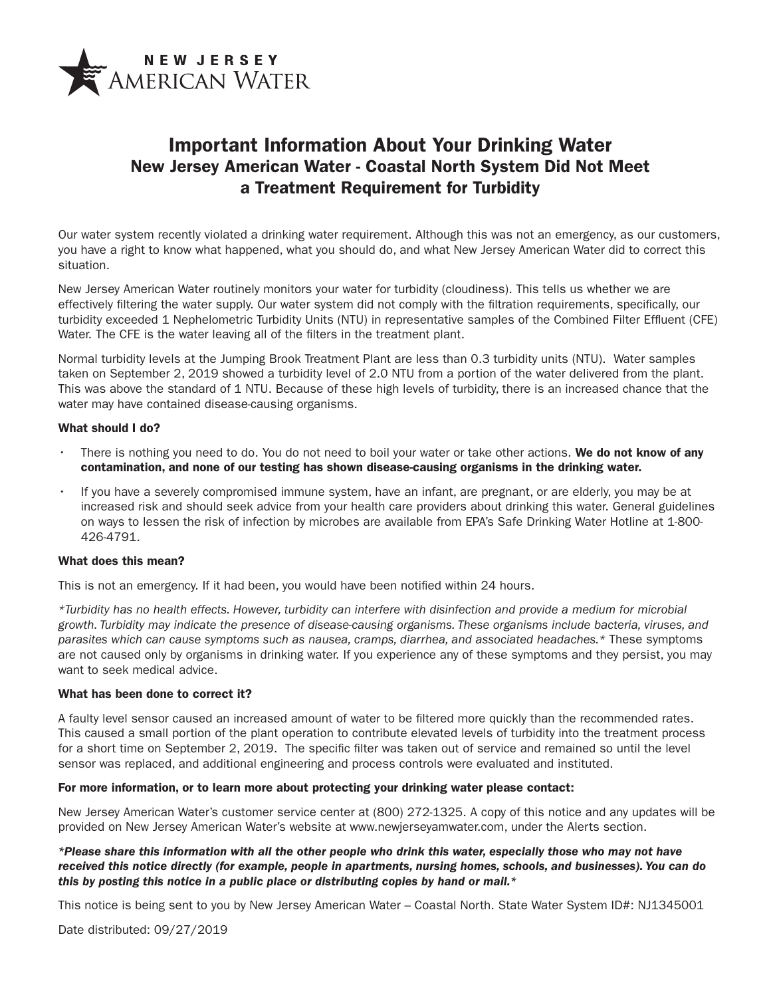

# Important Information About Your Drinking Water New Jersey American Water - Coastal North System Did Not Meet a Treatment Requirement for Turbidity

Our water system recently violated a drinking water requirement. Although this was not an emergency, as our customers, you have a right to know what happened, what you should do, and what New Jersey American Water did to correct this situation.

New Jersey American Water routinely monitors your water for turbidity (cloudiness). This tells us whether we are effectively filtering the water supply. Our water system did not comply with the filtration requirements, specifically, our turbidity exceeded 1 Nephelometric Turbidity Units (NTU) in representative samples of the Combined Filter Effluent (CFE) Water. The CFE is the water leaving all of the filters in the treatment plant.

Normal turbidity levels at the Jumping Brook Treatment Plant are less than 0.3 turbidity units (NTU). Water samples taken on September 2, 2019 showed a turbidity level of 2.0 NTU from a portion of the water delivered from the plant. This was above the standard of 1 NTU. Because of these high levels of turbidity, there is an increased chance that the water may have contained disease-causing organisms.

## What should I do?

- There is nothing you need to do. You do not need to boil your water or take other actions. We do not know of any contamination, and none of our testing has shown disease-causing organisms in the drinking water.
- If you have a severely compromised immune system, have an infant, are pregnant, or are elderly, you may be at increased risk and should seek advice from your health care providers about drinking this water. General guidelines on ways to lessen the risk of infection by microbes are available from EPA's Safe Drinking Water Hotline at 1-800- 426-4791.

#### What does this mean?

This is not an emergency. If it had been, you would have been notified within 24 hours.

*\*Turbidity has no health effects. However, turbidity can interfere with disinfection and provide a medium for microbial growth. Turbidity may indicate the presence of disease-causing organisms. These organisms include bacteria, viruses, and parasites which can cause symptoms such as nausea, cramps, diarrhea, and associated headaches.\** These symptoms are not caused only by organisms in drinking water. If you experience any of these symptoms and they persist, you may want to seek medical advice.

## What has been done to correct it?

A faulty level sensor caused an increased amount of water to be filtered more quickly than the recommended rates. This caused a small portion of the plant operation to contribute elevated levels of turbidity into the treatment process for a short time on September 2, 2019. The specific filter was taken out of service and remained so until the level sensor was replaced, and additional engineering and process controls were evaluated and instituted.

### For more information, or to learn more about protecting your drinking water please contact:

New Jersey American Water's customer service center at (800) 272-1325. A copy of this notice and any updates will be provided on New Jersey American Water's website at www.newjerseyamwater.com, under the Alerts section.

## *\*Please share this information with all the other people who drink this water, especially those who may not have received this notice directly (for example, people in apartments, nursing homes, schools, and businesses). You can do this by posting this notice in a public place or distributing copies by hand or mail.\**

This notice is being sent to you by New Jersey American Water – Coastal North. State Water System ID#: NJ1345001

Date distributed: 09/27/2019